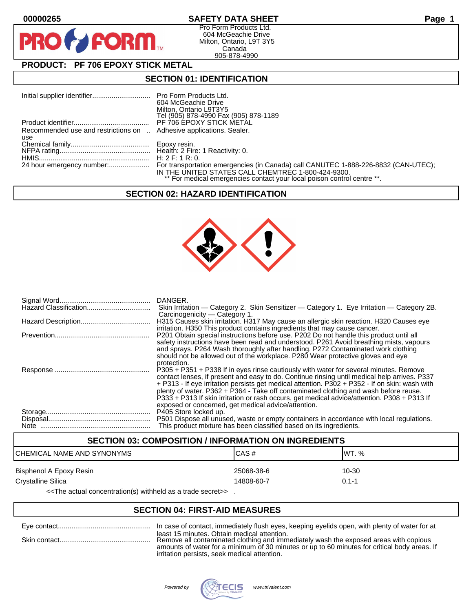PR

## **00000265 SAFETY DATA SHEET Page 1**

Pro Form Products Ltd. 604 McGeachie Drive Milton, Ontario, L9T 3Y5 Canada 905-878-4990

# **PRODUCT: PF 706 EPOXY STICK METAL**

**FORM.** 

### **SECTION 01: IDENTIFICATION**

|                                                                     | 604 McGeachie Drive<br>Milton, Ontario L9T3Y5<br>Tel (905) 878-4990 Fax (905) 878-1189                                        |
|---------------------------------------------------------------------|-------------------------------------------------------------------------------------------------------------------------------|
|                                                                     | PF 706 EPOXY STICK METAL                                                                                                      |
| Recommended use and restrictions on  Adhesive applications. Sealer. |                                                                                                                               |
| use                                                                 |                                                                                                                               |
|                                                                     |                                                                                                                               |
|                                                                     | H: 2 F: 1 R: 0.                                                                                                               |
|                                                                     | IN THE UNITED STATES CALL CHEMTREC 1-800-424-9300.<br>** For medical emergencies contact your local poison control centre **. |

#### **SECTION 02: HAZARD IDENTIFICATION**



| DANGER.<br>Skin Irritation — Category 2. Skin Sensitizer — Category 1. Eye Irritation — Category 2B.                                                                                                                                                                                                                                                                                                                                                                                                                                                 |
|------------------------------------------------------------------------------------------------------------------------------------------------------------------------------------------------------------------------------------------------------------------------------------------------------------------------------------------------------------------------------------------------------------------------------------------------------------------------------------------------------------------------------------------------------|
| Carcinogenicity — Category 1.<br>H315 Causes skin irritation. H317 May cause an allergic skin reaction. H320 Causes eye                                                                                                                                                                                                                                                                                                                                                                                                                              |
| irritation. H350 This product contains ingredients that may cause cancer.<br>P201 Obtain special instructions before use. P202 Do not handle this product until all<br>safety instructions have been read and understood. P261 Avoid breathing mists, vapours<br>and sprays. P264 Wash thoroughly after handling. P272 Contaminated work clothing<br>should not be allowed out of the workplace. P280 Wear protective gloves and eye                                                                                                                 |
| protection.<br>P305 + P351 + P338 If in eyes rinse cautiously with water for several minutes. Remove<br>contact lenses, if present and easy to do. Continue rinsing until medical help arrives. P337<br>+ P313 - If eye irritation persists get medical attention. P302 + P352 - If on skin: wash with<br>plenty of water. P362 + P364 - Take off contaminated clothing and wash before reuse.<br>P333 + P313 If skin irritation or rash occurs, get medical advice/attention. P308 + P313 If<br>exposed or concerned, get medical advice/attention. |
| P405 Store locked up.<br>P501 Dispose all unused, waste or empty containers in accordance with local regulations.<br>This product mixture has been classified based on its ingredients.                                                                                                                                                                                                                                                                                                                                                              |

### **SECTION 03: COMPOSITION / INFORMATION ON INGREDIENTS**

| ICHEMICAL NAME AND SYNONYMS | ICAS#      | IWT. %    |
|-----------------------------|------------|-----------|
| Bisphenol A Epoxy Resin     | 25068-38-6 | 10-30     |
| <b>Crystalline Silica</b>   | 14808-60-7 | $0.1 - 1$ |
|                             |            |           |

<<The actual concentration(s) withheld as a trade secret>> .

## **SECTION 04: FIRST-AID MEASURES**

|              | In case of contact, immediately flush eyes, keeping eyelids open, with plenty of water for at                                                                                                                                                                                       |
|--------------|-------------------------------------------------------------------------------------------------------------------------------------------------------------------------------------------------------------------------------------------------------------------------------------|
| Skin contact | least 15 minutes. Obtain medical attention.<br>Remove all contaminated clothing and immediately wash the exposed areas with copious<br>amounts of water for a minimum of 30 minutes or up to 60 minutes for critical body areas. If<br>irritation persists, seek medical attention. |

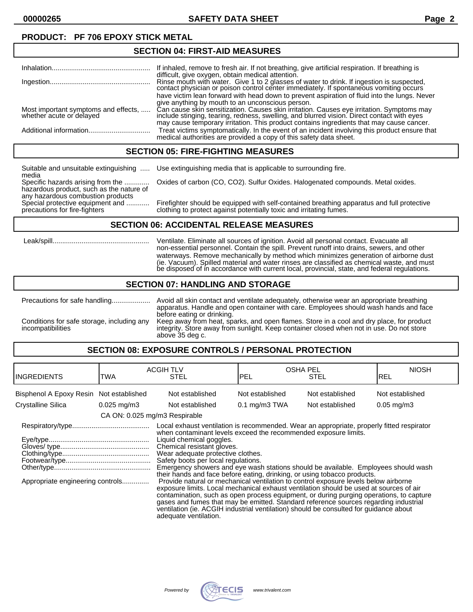### **PRODUCT: PF 706 EPOXY STICK METAL**

#### **SECTION 04: FIRST-AID MEASURES**

|                                                                  | If inhaled, remove to fresh air. If not breathing, give artificial respiration. If breathing is                                                                                                                                                                                  |
|------------------------------------------------------------------|----------------------------------------------------------------------------------------------------------------------------------------------------------------------------------------------------------------------------------------------------------------------------------|
|                                                                  | difficult, give oxygen, obtain medical attention.<br>Rinse mouth with water. Give 1 to 2 glasses of water to drink. If ingestion is suspected, contact physician or poison control center immediately. If spontaneous vomiting occurs                                            |
|                                                                  | have victim lean forward with head down to prevent aspiration of fluid into the lungs. Never<br>give anything by mouth to an unconscious person.                                                                                                                                 |
| Most important symptoms and effects,<br>whether acute or delayed | Can cause skin sensitization. Causes skin irritation. Causes eye irritation. Symptoms may include stinging, tearing, redness, swelling, and blurred vision. Direct contact with eyes<br>may cause temporary irritation. This product contains ingredients that may cause cancer. |
|                                                                  | Treat victims symptomatically. In the event of an incident involving this product ensure that<br>medical authorities are provided a copy of this safety data sheet.                                                                                                              |
|                                                                  |                                                                                                                                                                                                                                                                                  |

#### **SECTION 05: FIRE-FIGHTING MEASURES**

Suitable and unsuitable extinguishing ..... Use extinguishing media that is applicable to surrounding fire. media Specific hazards arising from the ............. Oxides of carbon (CO, CO2). Sulfur Oxides. Halogenated compounds. Metal oxides. hazardous product, such as the nature of any hazardous combustion products Special protective equipment and ............ Firefighter should be equipped with self-contained breathing apparatus and full protective precautions for fire-fighters clothing to protect against potentially toxic and irritating fumes.

# **SECTION 06: ACCIDENTAL RELEASE MEASURES**

 Leak/spill.................................................. Ventilate. Eliminate all sources of ignition. Avoid all personal contact. Evacuate all non-essential personnel. Contain the spill. Prevent runoff into drains, sewers, and other waterways. Remove mechanically by method which minimizes generation of airborne dust (ie. Vacuum). Spilled material and water rinses are classified as chemical waste, and must be disposed of in accordance with current local, provincial, state, and federal regulations.

#### **SECTION 07: HANDLING AND STORAGE**

Precautions for safe handling.................... Avoid all skin contact and ventilate adequately, otherwise wear an appropriate breathing apparatus. Handle and open container with care. Employees should wash hands and face before eating or drinking. Conditions for safe storage, including any Keep away from heat, sparks, and open flames. Store in a cool and dry place, for product incompatibilities<br>integrity. Store away from sunlight. Keep container closed when not in u integrity. Store away from sunlight. Keep container closed when not in use. Do not store above 35 deg c.

#### **SECTION 08: EXPOSURE CONTROLS / PERSONAL PROTECTION**

| <b>INGREDIENTS</b>                                                                                                                                                                                                                                                                                                                                                                                                                                                                                                                                                                                                                                                                                                                                                                                                                                                                                            | TWA           | <b>ACGIH TLV</b><br><b>STEL</b> | <b>OSHA PEL</b><br>IPEL                                                               | <b>STEL</b>     | <b>NIOSH</b><br>IREL    |
|---------------------------------------------------------------------------------------------------------------------------------------------------------------------------------------------------------------------------------------------------------------------------------------------------------------------------------------------------------------------------------------------------------------------------------------------------------------------------------------------------------------------------------------------------------------------------------------------------------------------------------------------------------------------------------------------------------------------------------------------------------------------------------------------------------------------------------------------------------------------------------------------------------------|---------------|---------------------------------|---------------------------------------------------------------------------------------|-----------------|-------------------------|
| Bisphenol A Epoxy Resin Not established                                                                                                                                                                                                                                                                                                                                                                                                                                                                                                                                                                                                                                                                                                                                                                                                                                                                       |               | Not established                 | Not established                                                                       | Not established | Not established         |
| <b>Crystalline Silica</b>                                                                                                                                                                                                                                                                                                                                                                                                                                                                                                                                                                                                                                                                                                                                                                                                                                                                                     | $0.025$ mg/m3 | Not established                 | $0.1 \text{ mg/m}3$ TWA                                                               | Not established | $0.05 \,\mathrm{mg/m3}$ |
|                                                                                                                                                                                                                                                                                                                                                                                                                                                                                                                                                                                                                                                                                                                                                                                                                                                                                                               |               |                                 |                                                                                       |                 |                         |
| CA ON: 0.025 mg/m3 Respirable<br>Local exhaust ventilation is recommended. Wear an appropriate, properly fitted respirator<br>when contaminant levels exceed the recommended exposure limits.<br>Liquid chemical goggles.<br>Chemical resistant gloves.<br>Wear adequate protective clothes.<br>Safety boots per local regulations.<br>Emergency showers and eye wash stations should be available. Employees should wash<br>their hands and face before eating, drinking, or using tobacco products.<br>Appropriate engineering controls<br>Provide natural or mechanical ventilation to control exposure levels below airborne<br>exposure limits. Local mechanical exhaust ventilation should be used at sources of air<br>contamination, such as open process equipment, or during purging operations, to capture<br>gases and fumes that may be emitted. Standard reference sources regarding industrial |               |                                 | ventilation (ie. ACGIH industrial ventilation) should be consulted for quidance about |                 |                         |

adequate ventilation.

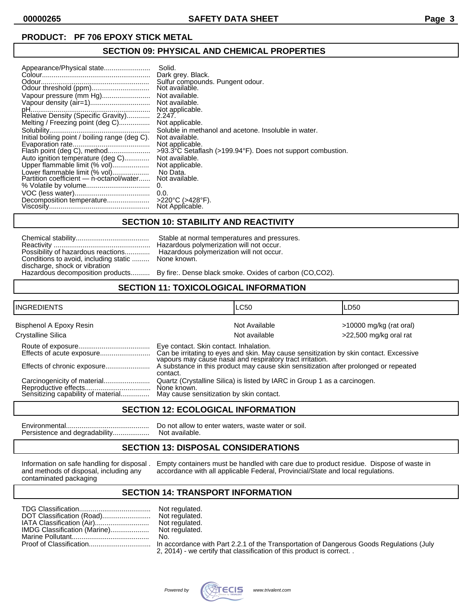#### **SECTION 09: PHYSICAL AND CHEMICAL PROPERTIES**

| Appearance/Physical state<br>Vapour pressure (mm Hg)<br>Melting / Freezing point (deg C)<br>Initial boiling point / boiling range (deg C).<br>Flash point (deg C), method<br>Auto ignition temperature (deg C)<br>Upper flammable limit (% vol)<br>Lower flammable limit (% vol)<br>Partition coefficient — n-octanol/water | Solid.<br>Dark grey. Black.<br>Sulfur compounds. Pungent odour.<br>Not available.<br>Not available.<br>Not available.<br>Not applicable.<br>2.247.<br>Not applicable.<br>Soluble in methanol and acetone. Insoluble in water.<br>Not available.<br>Not applicable.<br>>93.3°C Setaflash (>199.94°F). Does not support combustion.<br>Not available.<br>Not applicable.<br>No Data.<br>Not available.<br>0.<br>0.0. |
|-----------------------------------------------------------------------------------------------------------------------------------------------------------------------------------------------------------------------------------------------------------------------------------------------------------------------------|--------------------------------------------------------------------------------------------------------------------------------------------------------------------------------------------------------------------------------------------------------------------------------------------------------------------------------------------------------------------------------------------------------------------|
| Decomposition temperature                                                                                                                                                                                                                                                                                                   | $>220^{\circ}$ C ( $>428^{\circ}$ F).                                                                                                                                                                                                                                                                                                                                                                              |
|                                                                                                                                                                                                                                                                                                                             | Not Applicable.                                                                                                                                                                                                                                                                                                                                                                                                    |

### **SECTION 10: STABILITY AND REACTIVITY**

| Possibility of hazardous reactions    |
|---------------------------------------|
| Conditions to avoid, including static |
| discharge, shock or vibration         |
| Hazardous decomposition products      |

Stable at normal temperatures and pressures. Hazardous polymerization will not occur. Hazardous polymerization will not occur. None known.

By fire:. Dense black smoke. Oxides of carbon (CO,CO2).

### **SECTION 11: TOXICOLOGICAL INFORMATION**

| <b>INGREDIENTS</b>                                         |                                                         | <b>LC50</b>                                                                                                                                                                                                                                 | LD50                      |
|------------------------------------------------------------|---------------------------------------------------------|---------------------------------------------------------------------------------------------------------------------------------------------------------------------------------------------------------------------------------------------|---------------------------|
| Bisphenol A Epoxy Resin                                    |                                                         | Not Available                                                                                                                                                                                                                               | $>10000$ mg/kg (rat oral) |
| Crystalline Silica                                         |                                                         | Not available                                                                                                                                                                                                                               | >22,500 mg/kg oral rat    |
| Effects of acute exposure                                  | Eye contact. Skin contact. Inhalation.<br>contact.      | Can be irritating to eyes and skin. May cause sensitization by skin contact. Excessive<br>vapours may cause nasal and respiratory tract irritation.<br>A substance in this product may cause skin sensitization after prolonged or repeated |                           |
| Reproductive effects<br>Sensitizing capability of material | None known.<br>May cause sensitization by skin contact. | Quartz (Crystalline Silica) is listed by IARC in Group 1 as a carcinogen.                                                                                                                                                                   |                           |

#### **SECTION 12: ECOLOGICAL INFORMATION**

Environmental........................................... Do not allow to enter waters, waste water or soil. Persistence and degradability...................

#### **SECTION 13: DISPOSAL CONSIDERATIONS**

contaminated packaging

Information on safe handling for disposal . Empty containers must be handled with care due to product residue. Dispose of waste in and methods of disposal, including any accordance with all applicable Federal, Provincial/S accordance with all applicable Federal, Provincial/State and local regulations.

## **SECTION 14: TRANSPORT INFORMATION**

|  | Not regulated.                                                                           |
|--|------------------------------------------------------------------------------------------|
|  |                                                                                          |
|  | No.                                                                                      |
|  | In accordance with Part 2.2.1 of the Transportation of Dangerous Goods Regulations (July |
|  | 2, 2014) - we certify that classification of this product is correct. .                  |